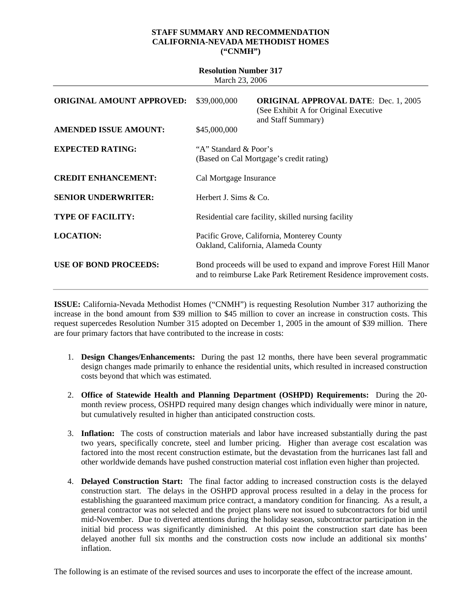## **STAFF SUMMARY AND RECOMMENDATION CALIFORNIA-NEVADA METHODIST HOMES ("CNMH")**

| <b>Resolution Number 317</b><br>March 23, 2006 |                                                                                   |                                                                                                                                          |  |
|------------------------------------------------|-----------------------------------------------------------------------------------|------------------------------------------------------------------------------------------------------------------------------------------|--|
| <b>ORIGINAL AMOUNT APPROVED:</b>               | \$39,000,000                                                                      | <b>ORIGINAL APPROVAL DATE: Dec. 1, 2005</b><br>(See Exhibit A for Original Executive)<br>and Staff Summary)                              |  |
| <b>AMENDED ISSUE AMOUNT:</b>                   | \$45,000,000                                                                      |                                                                                                                                          |  |
| <b>EXPECTED RATING:</b>                        | "A" Standard & Poor's<br>(Based on Cal Mortgage's credit rating)                  |                                                                                                                                          |  |
| <b>CREDIT ENHANCEMENT:</b>                     | Cal Mortgage Insurance                                                            |                                                                                                                                          |  |
| <b>SENIOR UNDERWRITER:</b>                     | Herbert J. Sims $& Co.$                                                           |                                                                                                                                          |  |
| <b>TYPE OF FACILITY:</b>                       | Residential care facility, skilled nursing facility                               |                                                                                                                                          |  |
| <b>LOCATION:</b>                               | Pacific Grove, California, Monterey County<br>Oakland, California, Alameda County |                                                                                                                                          |  |
| <b>USE OF BOND PROCEEDS:</b>                   |                                                                                   | Bond proceeds will be used to expand and improve Forest Hill Manor<br>and to reimburse Lake Park Retirement Residence improvement costs. |  |

**ISSUE:** California-Nevada Methodist Homes ("CNMH") is requesting Resolution Number 317 authorizing the increase in the bond amount from \$39 million to \$45 million to cover an increase in construction costs. This request supercedes Resolution Number 315 adopted on December 1, 2005 in the amount of \$39 million. There are four primary factors that have contributed to the increase in costs:

- 1. **Design Changes/Enhancements:** During the past 12 months, there have been several programmatic design changes made primarily to enhance the residential units, which resulted in increased construction costs beyond that which was estimated.
- 2. **Office of Statewide Health and Planning Department (OSHPD) Requirements:** During the 20 month review process, OSHPD required many design changes which individually were minor in nature, but cumulatively resulted in higher than anticipated construction costs.
- 3. **Inflation:** The costs of construction materials and labor have increased substantially during the past two years, specifically concrete, steel and lumber pricing. Higher than average cost escalation was factored into the most recent construction estimate, but the devastation from the hurricanes last fall and other worldwide demands have pushed construction material cost inflation even higher than projected.
- 4. **Delayed Construction Start:** The final factor adding to increased construction costs is the delayed construction start. The delays in the OSHPD approval process resulted in a delay in the process for establishing the guaranteed maximum price contract, a mandatory condition for financing. As a result, a general contractor was not selected and the project plans were not issued to subcontractors for bid until mid-November. Due to diverted attentions during the holiday season, subcontractor participation in the initial bid process was significantly diminished. At this point the construction start date has been delayed another full six months and the construction costs now include an additional six months' inflation.

The following is an estimate of the revised sources and uses to incorporate the effect of the increase amount.